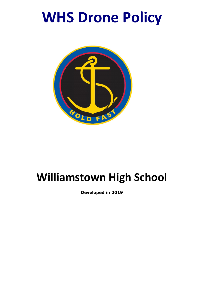# **WHS Drone Policy**



## **Williamstown High School**

**Developed in 2019**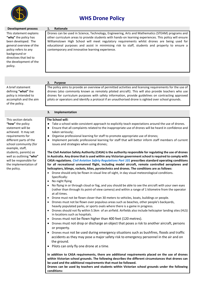

### **WHS Drone Policy**

This statement explains **"why"** the policy has been developed. The general overview of the policy refers to any background or directives that led to the development of the policy.

A brief statement defining **"what"** the policy is intended to accomplish and the aim of the policy.

This section details **"how"** the policy statement will be achieved. It may set requirements for different parts of the school community (for example, staff, students, parents) as well as outlining **"who"** will be responsible for the implementation of the policy.

#### **Development process 1. Rationale**

 Drones can be used in Science, Technology, Engineering, Arts and Mathematics (STEAM) programs and other curriculum areas to provide students with hands-on learning experiences. This policy will ensure Williamstown High School will meet regulatory requirements whilst drones are being used for educational purposes and assist in minimising risk to staff, students and property to ensure a contemporary and innovative learning experience.

#### **2. Purpose**

The policy aims to provide an overview of permitted activities and licensing requirements for the use of drones (also commonly known as remotely piloted aircraft). This will also provide teachers who use drones for curriculum purposes with safety information, provide guidelines on contracting approved pilots or operators and identify a protocol if an unauthorised drone is sighted over school grounds.

#### **3. Implementation**

#### **The School will:**

- Take a school-wide consistent approach to explicitly teach expectations around the use of drones.
- Ensure that all complaints related to the inappropriate use of drones will be heard in confidence and taken seriously;
- Organise professional learning for staff to promote appropriate use of drones;
- Implement periodic professional learning for staff that will better inform staff members of current issues and strategies when using drones;

**The Civil Aviation Safety Authority (CASA) is the authority responsible for regulating the use of drones in Australia. Any drone that is used within any Victorian government school is required to comply with CASA regulations.** *Civil Aviation Safety Regulations Part 101* **prescribes standard operating conditions for all recreational unmanned flight, including model aircraft, remote controlled aeroplanes and helicopters, blimps, rockets, kites, pyrotechnics and drones. The conditions are as follows:**

- Drone should only be flown in visual line-of-sight, in day visual meteorological conditions. Specifically:
- No night flying
- No flying in or through cloud or fog, and you should be able to see the aircraft with your own eyes (rather than through its point-of view camera) and within a range of 1 kilometre from the operator at all times.
- Drone must not be flown closer than 30 meters to vehicles, boats, buildings or people.
- Drones must not be flown over populous areas such as beaches, other people's backyards, heavily populated parks, or sports ovals where there is a game in progress.
- Drones should not fly within 5.5km of an airfield. Airfields also include helicopter landing sites (HLS) in locations such as hospitals.
- Drones must not be flown higher than 400 feet (120 metres).
- Drones must not drop or discharge an object that poses a risk to another aircraft, persons or property.
- Drones must not be used during emergency situations such as bushfires, floods and traffic accidents as they may pose a major safety risk to emergency personnel in the air and on the ground.
- Pilots can only fly one drone at a time.

**In addition to CASA requirements, there are additional requirements placed on the use of drones within Victorian school grounds. The following describes the different circumstances that drones can be used and the additional requirements that must be followed.**

**Drones can be used by teachers and students within Victorian school grounds under the following conditions:**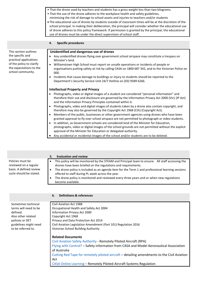|                                              | • That the drone used by teachers and students has a gross weight less than two kilograms.<br>. That the use of the drone adheres to the workplace health and safety guidelines,<br>minimising the risk of damage to school assets and injuries to teachers and/or students<br>. The educational use of drones by students outside of classroom times will be at the discretion of the<br>school principal. In making their deliberation, the principal will consider whether the educational use<br>of drone adheres to this policy framework. If permission is granted by the principal, the educational<br>use of drones must be under the direct supervision of school staff. |
|----------------------------------------------|-----------------------------------------------------------------------------------------------------------------------------------------------------------------------------------------------------------------------------------------------------------------------------------------------------------------------------------------------------------------------------------------------------------------------------------------------------------------------------------------------------------------------------------------------------------------------------------------------------------------------------------------------------------------------------------|
|                                              | <b>Specific procedures</b><br>4.                                                                                                                                                                                                                                                                                                                                                                                                                                                                                                                                                                                                                                                  |
| This section outlines                        | Unidentified and dangerous use of drones                                                                                                                                                                                                                                                                                                                                                                                                                                                                                                                                                                                                                                          |
| the specific and<br>practical applications   | Any unidentified drones flying over government school airspace may constitute a trespass on<br>Minister's land.                                                                                                                                                                                                                                                                                                                                                                                                                                                                                                                                                                   |
| of the policy to clarify                     | Williamstown High School must report on unsafe operations or incidents of people or<br>$\bullet$                                                                                                                                                                                                                                                                                                                                                                                                                                                                                                                                                                                  |
| the expectations to the<br>school community. | organisations putting safety at risk by calling CASA on 1800 687 342, and to the Victorian Police on<br>000.                                                                                                                                                                                                                                                                                                                                                                                                                                                                                                                                                                      |
|                                              | Incidents that cause damage to buildings or injury to students should be reported to the                                                                                                                                                                                                                                                                                                                                                                                                                                                                                                                                                                                          |
|                                              | Department's Security Service Unit 24/7 Hotline on (03) 9589 6266.                                                                                                                                                                                                                                                                                                                                                                                                                                                                                                                                                                                                                |
|                                              | <b>Intellectual Property and Privacy</b>                                                                                                                                                                                                                                                                                                                                                                                                                                                                                                                                                                                                                                          |
|                                              | Photographs, video or digital images of a student are considered "personal information" and<br>therefore their use and disclosure are governed by the Information Privacy Act 2000 (Vic) (IP Act)<br>and the Information Privacy Principles contained within it.                                                                                                                                                                                                                                                                                                                                                                                                                  |
|                                              | Photographs, video and digital images of students taken by a drone also contain copyright, and<br>therefore may also be governed by the Copyright Act 1968 (Cth) (Copyright Act).                                                                                                                                                                                                                                                                                                                                                                                                                                                                                                 |
|                                              | Members of the public, businesses or other government agencies using drones who have been<br>$\bullet$<br>granted approval to fly over school airspace are not permitted to photograph or video students.                                                                                                                                                                                                                                                                                                                                                                                                                                                                         |
|                                              | In addition, as Government schools are considered land of the Minister for Education,<br>$\bullet$                                                                                                                                                                                                                                                                                                                                                                                                                                                                                                                                                                                |
|                                              | photographs, video or digital images of the school grounds are not permitted without the explicit                                                                                                                                                                                                                                                                                                                                                                                                                                                                                                                                                                                 |
|                                              | approval of the Minister for Education or delegated authority.                                                                                                                                                                                                                                                                                                                                                                                                                                                                                                                                                                                                                    |
|                                              | Any accidental or incidental images of the school and/or students are to be deleted.                                                                                                                                                                                                                                                                                                                                                                                                                                                                                                                                                                                              |

|                                                                                                 | <b>Evaluation and review</b><br>5.                                                                                                                                                                                                                                                                                                                                                                                                                                |
|-------------------------------------------------------------------------------------------------|-------------------------------------------------------------------------------------------------------------------------------------------------------------------------------------------------------------------------------------------------------------------------------------------------------------------------------------------------------------------------------------------------------------------------------------------------------------------|
| Policies must be<br>reviewed on a regular<br>basis. A defined review<br>cycle should be stated. | This policy will be monitored by the STEAM and Principal team to ensure: All staff accessing the<br>٠<br>drones have been briefed on the regulations and requirements.<br>The drone policy is included as an agenda item for the Term 1 and professional learning sessions<br>$\bullet$<br>offered to staff during PL week across the year.<br>The drone policy is monitored and reviewed every three years and or when new regulations<br>٠<br>become available. |
|                                                                                                 | <b>Definitions &amp; references</b><br>6.                                                                                                                                                                                                                                                                                                                                                                                                                         |
|                                                                                                 |                                                                                                                                                                                                                                                                                                                                                                                                                                                                   |
| Sometimes technical                                                                             | Civil Aviation Act 1988                                                                                                                                                                                                                                                                                                                                                                                                                                           |
| terms will need to be                                                                           | Occupational Health and Safety Act 2004                                                                                                                                                                                                                                                                                                                                                                                                                           |
| defined.                                                                                        | Information Privacy Act 2000                                                                                                                                                                                                                                                                                                                                                                                                                                      |
| Also other related                                                                              | Copyright Act 1968                                                                                                                                                                                                                                                                                                                                                                                                                                                |
| policies or DET                                                                                 | Privacy and Data Protection Act 2014                                                                                                                                                                                                                                                                                                                                                                                                                              |
| guidelines might need                                                                           | Civil Aviation Legislation Amendment (Part 101) Regulation 2016                                                                                                                                                                                                                                                                                                                                                                                                   |
| to be referred to.                                                                              | Victorian School Building Authority                                                                                                                                                                                                                                                                                                                                                                                                                               |

**Related Documents** Civil Aviation Safety Authority - Remotely Piloted Aircraft (RPA) Flying with Control? – Safety information from CASA and Model Aeronautical Association of Australia Cutting Red Tape for remotely piloted aircraft – detailing amendments to the Civil Aviation Act CASA Online Learning – Remotely Piloted Aircraft Systems Regulation